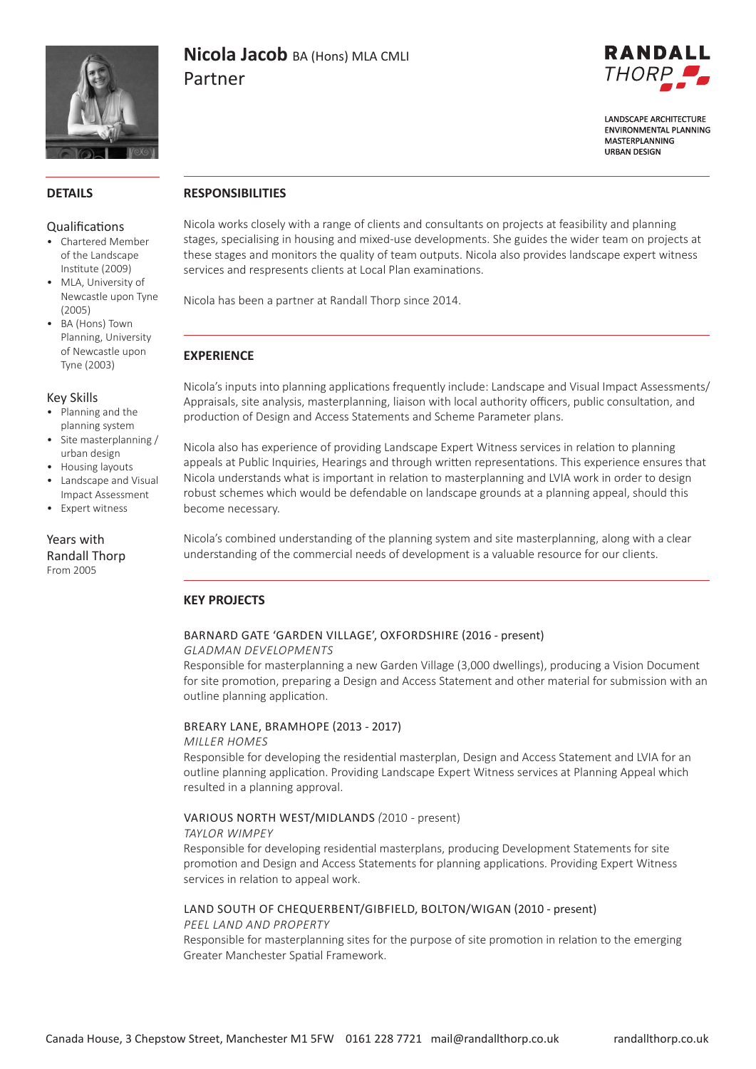

# **Nicola Jacob** BA (Hons) MLA CMLI Partner



**LANDSCAPF ARCHITECTURE FNVIRONMENTAL PLANNING** MASTERPLANNING **URBAN DESIGN** 

### **DETAILS**

### Qualifications

- Chartered Member of the Landscape Institute (2009)
- MLA, University of Newcastle upon Tyne (2005)
- BA (Hons) Town Planning, University of Newcastle upon Tyne (2003)

### Key Skills

- Planning and the planning system
- Site masterplanning / urban design
- Housing layouts
- Landscape and Visual Impact Assessment
- Expert witness

Years with Randall Thorp From 2005

## **RESPONSIBILITIES**

Nicola works closely with a range of clients and consultants on projects at feasibility and planning stages, specialising in housing and mixed-use developments. She guides the wider team on projects at these stages and monitors the quality of team outputs. Nicola also provides landscape expert witness services and respresents clients at Local Plan examinations.

Nicola has been a partner at Randall Thorp since 2014.

### **EXPERIENCE**

Nicola's inputs into planning applications frequently include: Landscape and Visual Impact Assessments/ Appraisals, site analysis, masterplanning, liaison with local authority officers, public consultation, and production of Design and Access Statements and Scheme Parameter plans.

Nicola also has experience of providing Landscape Expert Witness services in relation to planning appeals at Public Inquiries, Hearings and through written representations. This experience ensures that Nicola understands what is important in relation to masterplanning and LVIA work in order to design robust schemes which would be defendable on landscape grounds at a planning appeal, should this become necessary.

Nicola's combined understanding of the planning system and site masterplanning, along with a clear understanding of the commercial needs of development is a valuable resource for our clients.

## **KEY PROJECTS**

# BARNARD GATE 'GARDEN VILLAGE', OXFORDSHIRE (2016 - present)

*GLADMAN DEVELOPMENTS*

Responsible for masterplanning a new Garden Village (3,000 dwellings), producing a Vision Document for site promotion, preparing a Design and Access Statement and other material for submission with an outline planning application.

### BREARY LANE, BRAMHOPE (2013 - 2017)

#### *MILLER HOMES*

Responsible for developing the residential masterplan, Design and Access Statement and LVIA for an outline planning application. Providing Landscape Expert Witness services at Planning Appeal which resulted in a planning approval.

### VARIOUS NORTH WEST/MIDLANDS *(*2010 - present)

#### *TAYLOR WIMPEY*

Responsible for developing residential masterplans, producing Development Statements for site promotion and Design and Access Statements for planning applications. Providing Expert Witness services in relation to appeal work.

# LAND SOUTH OF CHEQUERBENT/GIBFIELD, BOLTON/WIGAN (2010 - present)

### *PEEL LAND AND PROPERTY*

Responsible for masterplanning sites for the purpose of site promotion in relation to the emerging Greater Manchester Spatial Framework.